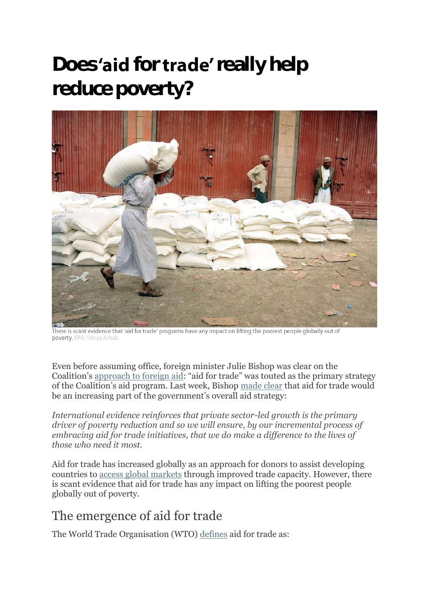## **Does** 'aid for **trade'** really help **reduce poverty?**



There is scant evidence that 'aid for trade' programs have any impact on lifting the poorest people globally out of poverty. EPA/Yahya Arhab

Even before assuming office, foreign minister Julie Bishop was clear on the Coalition's [approach to foreign aid](http://devpolicy.org/julie-bishop-signals-support-for-selective-approach-to-pacific-integration-seasonal-workers-and-enterprise-challenge-fund-20130731/): "aid for trade" was touted as the primary strategy of the Coalition's aid program. Last week, Bishop [made clear](http://www.theguardian.com/world/2014/jun/18/julie-bishop-overhauls-foreign-aid-program-with-aid-for-trade-plan) that aid for trade would be an increasing part of the government's overall aid strategy:

*International evidence reinforces that private sector-led growth is the primary driver of poverty reduction and so we will ensure, by our incremental process of embracing aid for trade initiatives, that we do make a difference to the lives of those who need it most.*

Aid for trade has increased globally as an approach for donors to assist developing countries to [access global markets](http://www.odi.org.uk/publications/6771-increasing-effectiveness-aid-trade) through improved trade capacity. However, there is scant evidence that aid for trade has any impact on lifting the poorest people globally out of poverty.

## The emergence of aid for trade

The World Trade Organisation (WTO) [defines](http://www.wto.org/english/tratop_e/devel_e/a4t_e/a4t_factsheet_e.htm) aid for trade as: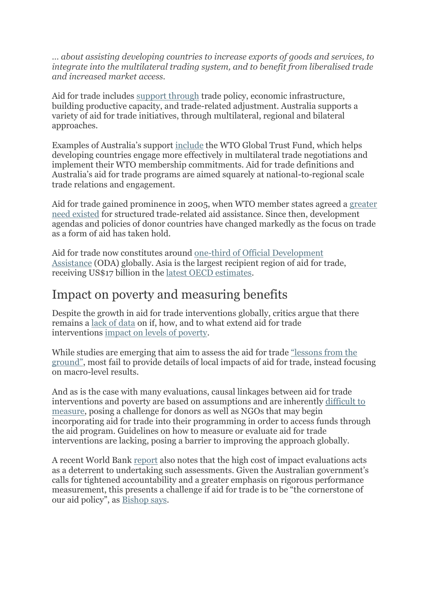*… about assisting developing countries to increase exports of goods and services, to integrate into the multilateral trading system, and to benefit from liberalised trade and increased market access.*

Aid for trade includes [support through](http://www.oecd.org/trade/aft/promotingeffectiveaidfortrade.htm) trade policy, economic infrastructure, building productive capacity, and trade-related adjustment. Australia supports a variety of aid for trade initiatives, through multilateral, regional and bilateral approaches.

Examples of Australia's support [include](http://www.dfat.gov.au/trade/aid-for-trade/) the WTO Global Trust Fund, which helps developing countries engage more effectively in multilateral trade negotiations and implement their WTO membership commitments. Aid for trade definitions and Australia's aid for trade programs are aimed squarely at national-to-regional scale trade relations and engagement.

Aid for trade gained prominence in 2005, when WTO member states agreed a [greater](http://www.traidcraft.co.uk/international_development/policy_work/policy_resources/policy_reports)  [need existed](http://www.traidcraft.co.uk/international_development/policy_work/policy_resources/policy_reports) for structured trade-related aid assistance. Since then, development agendas and policies of donor countries have changed markedly as the focus on trade as a form of aid has taken hold.

Aid for trade now constitutes around [one-third of Official Development](http://devpolicy.org/understanding-aid-for-trade-part-two-a-critique-20140302/)  [Assistance](http://devpolicy.org/understanding-aid-for-trade-part-two-a-critique-20140302/) (ODA) globally. Asia is the largest recipient region of aid for trade, receiving US\$17 billion in the [latest OECD estimates.](http://dx.doi.org/10.1787/aid_glance-2013-en)

## Impact on poverty and measuring benefits

Despite the growth in aid for trade interventions globally, critics argue that there remains a [lack of data](http://www.traidcraft.co.uk/international_development/policy_work/policy_resources/policy_reports) on if, how, and to what extend aid for trade interventions [impact on levels of poverty.](http://www.aph.gov.au/DocumentStore.ashx?id=741f9399-a3a7-45e5-bdb1-915ccf5d96aa&subId=251335)

While studies are emerging that aim to assess the aid for trade ["lessons from the](http://www.ictsd.org/themes/development-and-ldcs/research/evaluating-aid-for-trade-on-the-ground-lessons-from-bangladesh)  [ground"](http://www.ictsd.org/themes/development-and-ldcs/research/evaluating-aid-for-trade-on-the-ground-lessons-from-bangladesh), most fail to provide details of local impacts of aid for trade, instead focusing on macro-level results.

And as is the case with many evaluations, causal linkages between aid for trade interventions and poverty are based on assumptions and are inherently [difficult to](http://www.oecd-ilibrary.org/development/aid-for-trade-at-a-glance-2013_aid_glance-2013-en)  [measure,](http://www.oecd-ilibrary.org/development/aid-for-trade-at-a-glance-2013_aid_glance-2013-en) posing a challenge for donors as well as NGOs that may begin incorporating aid for trade into their programming in order to access funds through the aid program. Guidelines on how to measure or evaluate aid for trade interventions are lacking, posing a barrier to improving the approach globally.

A recent World Bank [report](http://elibrary.worldbank.org/doi/book/10.1596/1813-9450-6742) also notes that the high cost of impact evaluations acts as a deterrent to undertaking such assessments. Given the Australian government's calls for tightened accountability and a greater emphasis on rigorous performance measurement, this presents a challenge if aid for trade is to be "the cornerstone of our aid policy", as **Bishop says**.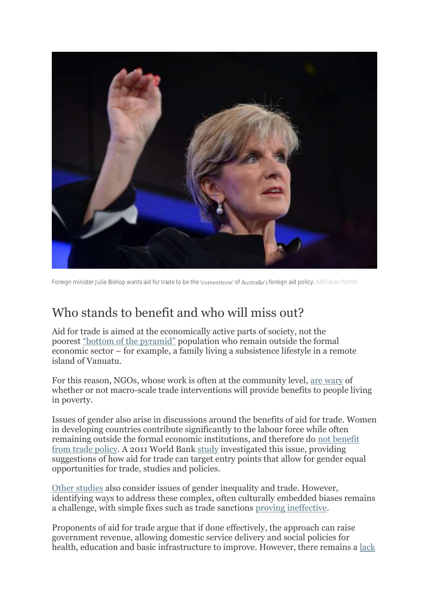

Foreign minister Julie Bishop wants aid for trade to be the 'cornerstone' of Australia's foreign aid policy. AAP/Alan Porritt

## Who stands to benefit and who will miss out?

Aid for trade is aimed at the economically active parts of society, not the poorest ["bottom of the pyramid"](http://papers.ssrn.com/sol3/papers.cfm?abstract_id=2193938) population who remain outside the formal economic sector – for example, a family living a subsistence lifestyle in a remote island of Vanuatu.

For this reason, NGOs, whose work is often at the community level, [are wary](https://www.devex.com/news/is-aid-for-trade-the-way-to-go-for-australian-oda-82712) of whether or not macro-scale trade interventions will provide benefits to people living in poverty.

Issues of gender also arise in discussions around the benefits of aid for trade. Women in developing countries contribute significantly to the labour force while often remaining outside the formal economic institutions, and therefore do [not benefit](https://www.devex.com/news/is-aid-for-trade-the-way-to-go-for-australian-oda-82712)  [from trade policy.](https://www.devex.com/news/is-aid-for-trade-the-way-to-go-for-australian-oda-82712) A 2011 World Bank [study](https://openknowledge.worldbank.org/handle/10986/10086) investigated this issue, providing suggestions of how aid for trade can target entry points that allow for gender equal opportunities for trade, studies and policies.

[Other studies](http://ideas.repec.org/p/zbw/gdec05/3481.html) also consider issues of gender inequality and trade. However, identifying ways to address these complex, often culturally embedded biases remains a challenge, with simple fixes such as trade sanctions [proving ineffective.](http://ideas.repec.org/p/zbw/gdec05/3481.html)

Proponents of aid for trade argue that if done effectively, the approach can raise government revenue, allowing domestic service delivery and social policies for health, education and basic infrastructure to improve. However, there remains a <u>lack</u>